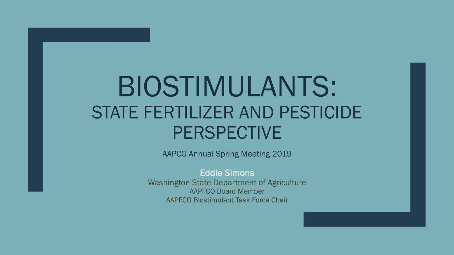# BIOSTIMULANTS: STATE FERTILIZER AND PESTICIDE PERSPECTIVE

AAPCO Annual Spring Meeting 2019

Eddie Simons

Washington State Department of Agriculture AAPFCO Board Member AAPFCO Biostimulant Task Force Chair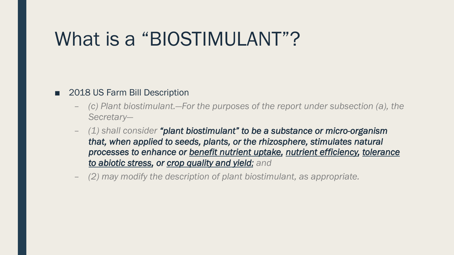### What is a "BIOSTIMULANT"?

#### ■ 2018 US Farm Bill Description

- *(c) Plant biostimulant.—For the purposes of the report under subsection (a), the Secretary—*
- *(1) shall consider "plant biostimulant" to be a substance or micro-organism that, when applied to seeds, plants, or the rhizosphere, stimulates natural processes to enhance or benefit nutrient uptake, nutrient efficiency, tolerance to abiotic stress, or crop quality and yield; and*
- *(2) may modify the description of plant biostimulant, as appropriate.*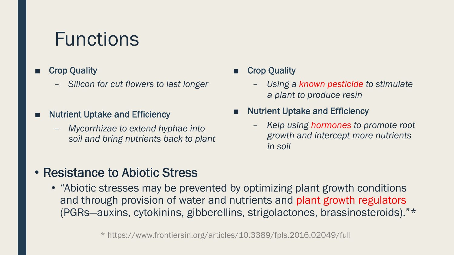# Functions

#### **Crop Quality**

- *Silicon for cut flowers to last longer*
- **Nutrient Uptake and Efficiency** 
	- *Mycorrhizae to extend hyphae into soil and bring nutrients back to plant*

#### ■ Crop Quality

- *Using a known pesticide to stimulate a plant to produce resin*
- **Nutrient Uptake and Efficiency** 
	- *Kelp using hormones to promote root growth and intercept more nutrients in soil*

#### • Resistance to Abiotic Stress

• "Abiotic stresses may be prevented by optimizing plant growth conditions and through provision of water and nutrients and plant growth regulators (PGRs—auxins, cytokinins, gibberellins, strigolactones, brassinosteroids)."\*

\* https://www.frontiersin.org/articles/10.3389/fpls.2016.02049/full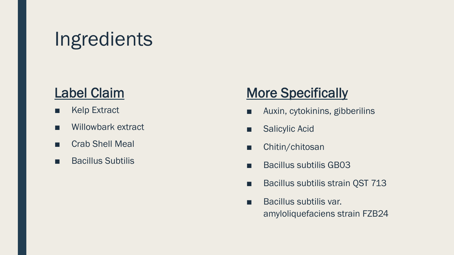# Ingredients

#### Label Claim

- Kelp Extract
- Willowbark extract
- Crab Shell Meal
- Bacillus Subtilis

### **More Specifically**

- Auxin, cytokinins, gibberilins
- Salicylic Acid
- Chitin/chitosan
- Bacillus subtilis GB03
- Bacillus subtilis strain QST 713
- Bacillus subtilis var. amyloliquefaciens strain FZB24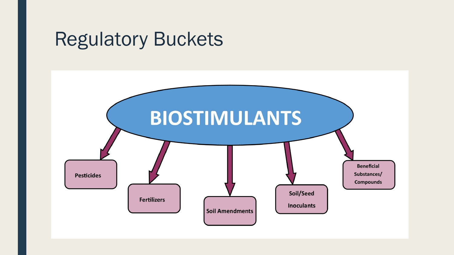### Regulatory Buckets

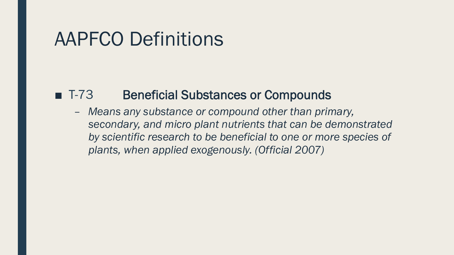### AAPFCO Definitions

#### ■ T-73 Beneficial Substances or Compounds

– *Means any substance or compound other than primary, secondary, and micro plant nutrients that can be demonstrated by scientific research to be beneficial to one or more species of plants, when applied exogenously. (Official 2007)*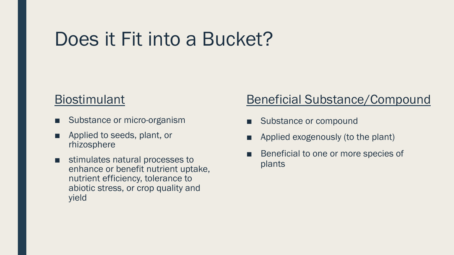# Does it Fit into a Bucket?

#### Biostimulant

- Substance or micro-organism
- Applied to seeds, plant, or rhizosphere
- stimulates natural processes to enhance or benefit nutrient uptake, nutrient efficiency, tolerance to abiotic stress, or crop quality and yield

#### Beneficial Substance/Compound

- Substance or compound
- Applied exogenously (to the plant)
- Beneficial to one or more species of plants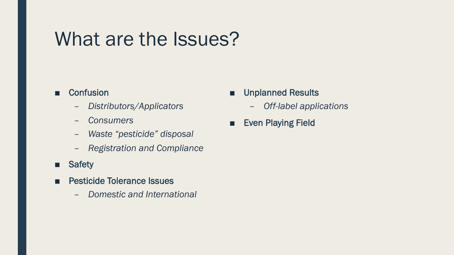### What are the Issues?

#### ■ Confusion

- *Distributors/Applicators*
- *Consumers*
- *Waste "pesticide" disposal*
- *Registration and Compliance*
- Safety
- Pesticide Tolerance Issues
	- *Domestic and International*
- Unplanned Results
	- *Off-label applications*
- Even Playing Field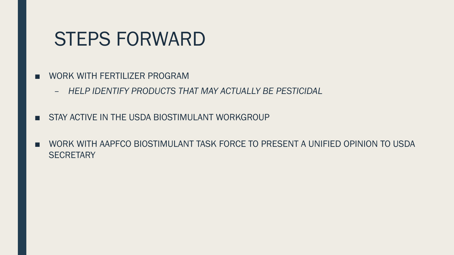### STEPS FORWARD

- WORK WITH FERTILIZER PROGRAM
	- *HELP IDENTIFY PRODUCTS THAT MAY ACTUALLY BE PESTICIDAL*
- STAY ACTIVE IN THE USDA BIOSTIMULANT WORKGROUP
- WORK WITH AAPFCO BIOSTIMULANT TASK FORCE TO PRESENT A UNIFIED OPINION TO USDA **SECRETARY**